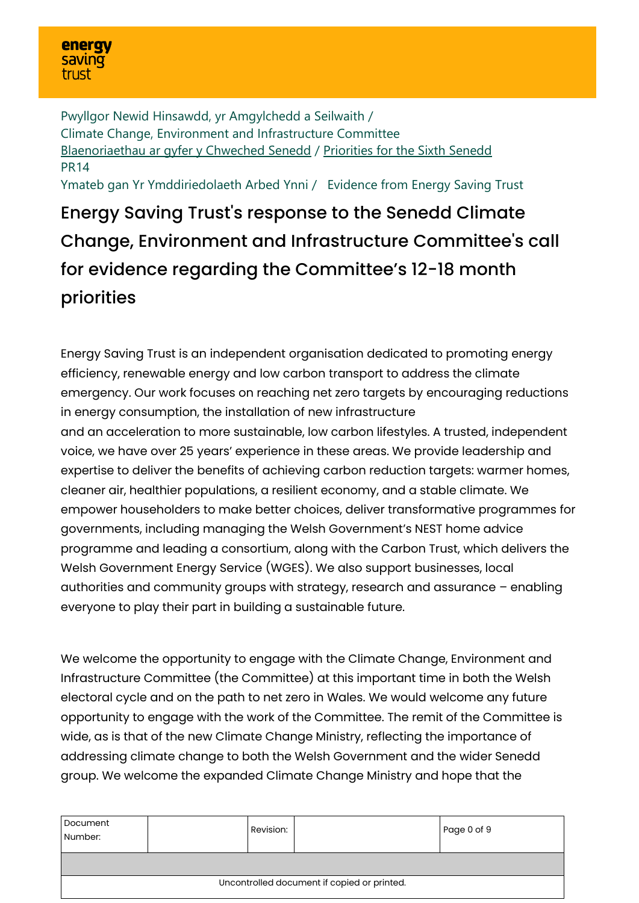Pwyllgor Newid Hinsawdd, yr Amgylchedd a Seilwaith / Climate Change, Environment and Infrastructure Committee [Blaenoriaethau ar gyfer y Chweched Senedd](https://busnes.senedd.cymru/mgConsultationDisplay.aspx?id=427&RPID=1026452002&cp=yes) / [Priorities for the Sixth Senedd](https://business.senedd.wales/mgConsultationDisplay.aspx?id=427&RPID=1026452002&cp=yes) PR14

Ymateb gan Yr Ymddiriedolaeth Arbed Ynni / Evidence from Energy Saving Trust

Energy Saving Trust's response to the Senedd Climate Change, Environment and Infrastructure Committee's call for evidence regarding the Committee's 12-18 month priorities

Energy Saving Trust is an independent organisation dedicated to promoting energy efficiency, renewable energy and low carbon transport to address the climate emergency. Our work focuses on reaching net zero targets by encouraging reductions in energy consumption, the installation of new infrastructure and an acceleration to more sustainable, low carbon lifestyles. A trusted, independent voice, we have over 25 years' experience in these areas. We provide leadership and expertise to deliver the benefits of achieving carbon reduction targets: warmer homes, cleaner air, healthier populations, a resilient economy, and a stable climate. We empower householders to make better choices, deliver transformative programmes for governments, including managing the Welsh Government's NEST home advice programme and leading a consortium, along with the Carbon Trust, which delivers the Welsh Government Energy Service (WGES). We also support businesses, local authorities and community groups with strategy, research and assurance – enabling everyone to play their part in building a sustainable future.

We welcome the opportunity to engage with the Climate Change, Environment and Infrastructure Committee (the Committee) at this important time in both the Welsh electoral cycle and on the path to net zero in Wales. We would welcome any future opportunity to engage with the work of the Committee. The remit of the Committee is wide, as is that of the new Climate Change Ministry, reflecting the importance of addressing climate change to both the Welsh Government and the wider Senedd group. We welcome the expanded Climate Change Ministry and hope that the

| Document<br>Number:                         |  | Revision: |  | Page 0 of 9 |  |
|---------------------------------------------|--|-----------|--|-------------|--|
|                                             |  |           |  |             |  |
| Uncontrolled document if copied or printed. |  |           |  |             |  |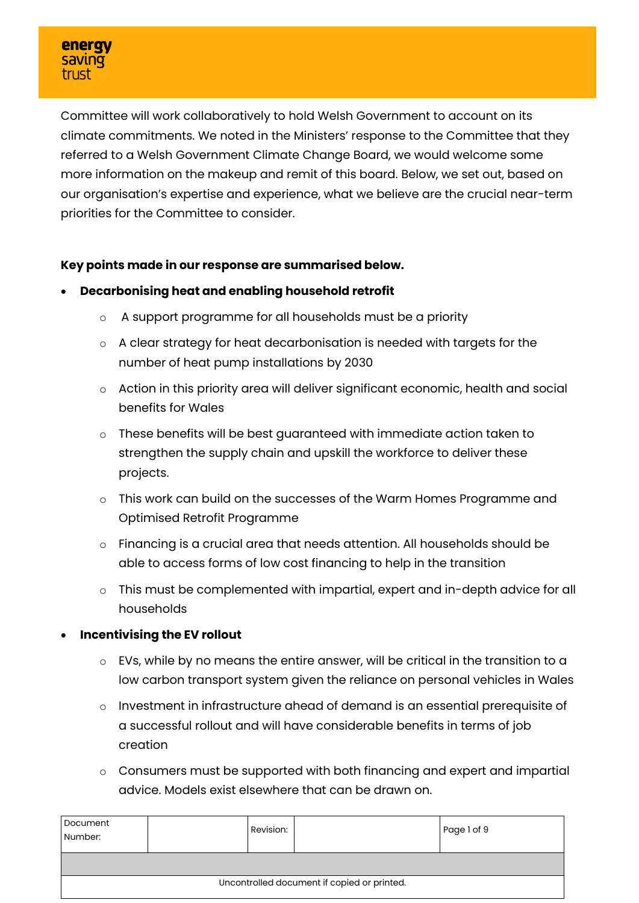Committee will work collaboratively to hold Welsh Government to account on its climate commitments. We noted in the Ministers' response to the Committee that they referred to a Welsh Government Climate Change Board, we would welcome some more information on the makeup and remit of this board. Below, we set out, based on our organisation's expertise and experience, what we believe are the crucial near-term priorities for the Committee to consider.

## **Key points made in our response are summarised below.**

- **Decarbonising heat and enabling household retrofit**
	- o A support programme for all households must be a priority
	- o A clear strategy for heat decarbonisation is needed with targets for the number of heat pump installations by 2030
	- o Action in this priority area will deliver significant economic, health and social benefits for Wales
	- o These benefits will be best guaranteed with immediate action taken to strengthen the supply chain and upskill the workforce to deliver these projects.
	- o This work can build on the successes of the Warm Homes Programme and Optimised Retrofit Programme
	- o Financing is a crucial area that needs attention. All households should be able to access forms of low cost financing to help in the transition
	- o This must be complemented with impartial, expert and in-depth advice for all households
- **Incentivising the EV rollout**
	- o EVs, while by no means the entire answer, will be critical in the transition to a low carbon transport system given the reliance on personal vehicles in Wales
	- o Investment in infrastructure ahead of demand is an essential prerequisite of a successful rollout and will have considerable benefits in terms of job creation
	- o Consumers must be supported with both financing and expert and impartial advice. Models exist elsewhere that can be drawn on.

| Document<br>Number:                         |  | Revision: |  | Page 1 of 9 |
|---------------------------------------------|--|-----------|--|-------------|
|                                             |  |           |  |             |
| Uncontrolled document if copied or printed. |  |           |  |             |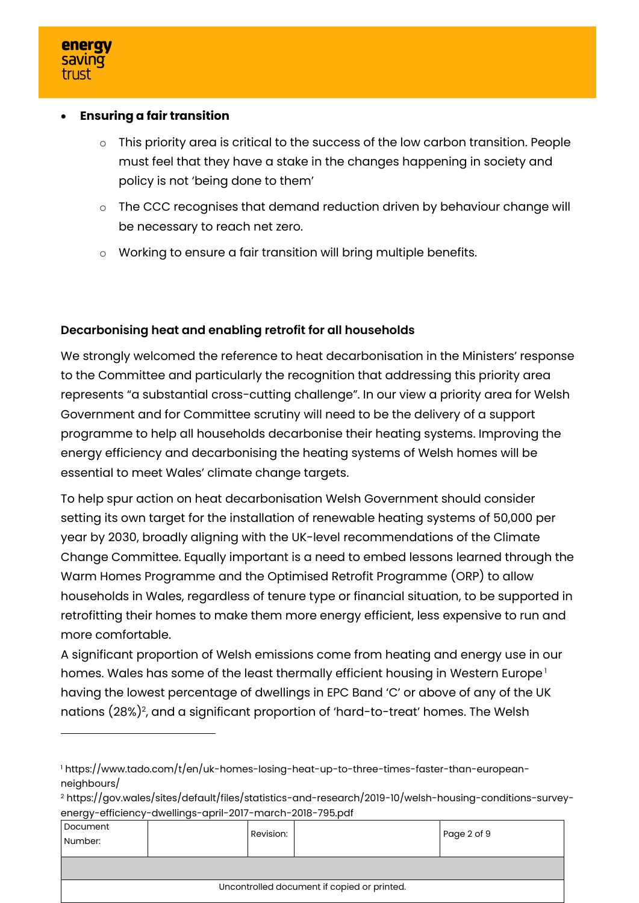### • **Ensuring a fair transition**

- o This priority area is critical to the success of the low carbon transition. People must feel that they have a stake in the changes happening in society and policy is not 'being done to them'
- o The CCC recognises that demand reduction driven by behaviour change will be necessary to reach net zero.
- o Working to ensure a fair transition will bring multiple benefits.

# **Decarbonising heat and enabling retrofit for all households**

We strongly welcomed the reference to heat decarbonisation in the Ministers' response to the Committee and particularly the recognition that addressing this priority area represents "a substantial cross-cutting challenge". In our view a priority area for Welsh Government and for Committee scrutiny will need to be the delivery of a support programme to help all households decarbonise their heating systems. Improving the energy efficiency and decarbonising the heating systems of Welsh homes will be essential to meet Wales' climate change targets.

To help spur action on heat decarbonisation Welsh Government should consider setting its own target for the installation of renewable heating systems of 50,000 per year by 2030, broadly aligning with the UK-level recommendations of the Climate Change Committee. Equally important is a need to embed lessons learned through the Warm Homes Programme and the Optimised Retrofit Programme (ORP) to allow households in Wales, regardless of tenure type or financial situation, to be supported in retrofitting their homes to make them more energy efficient, less expensive to run and more comfortable.

A significant proportion of Welsh emissions come from heating and energy use in our homes. Wales has some of the least thermally efficient housing in Western Europe<sup>1</sup> having the lowest percentage of dwellings in EPC Band 'C' or above of any of the UK nations (28%)<sup>2</sup>, and a significant proportion of 'hard-to-treat' homes. The Welsh

<sup>2</sup> https://gov.wales/sites/default/files/statistics-and-research/2019-10/welsh-housing-conditions-surveyenergy-efficiency-dwellings-april-2017-march-2018-795.pdf

| Document<br>Number:                         |  | Revision: |  | Page 2 of 9 |
|---------------------------------------------|--|-----------|--|-------------|
|                                             |  |           |  |             |
| Uncontrolled document if copied or printed. |  |           |  |             |

<sup>1</sup> https://www.tado.com/t/en/uk-homes-losing-heat-up-to-three-times-faster-than-europeanneighbours/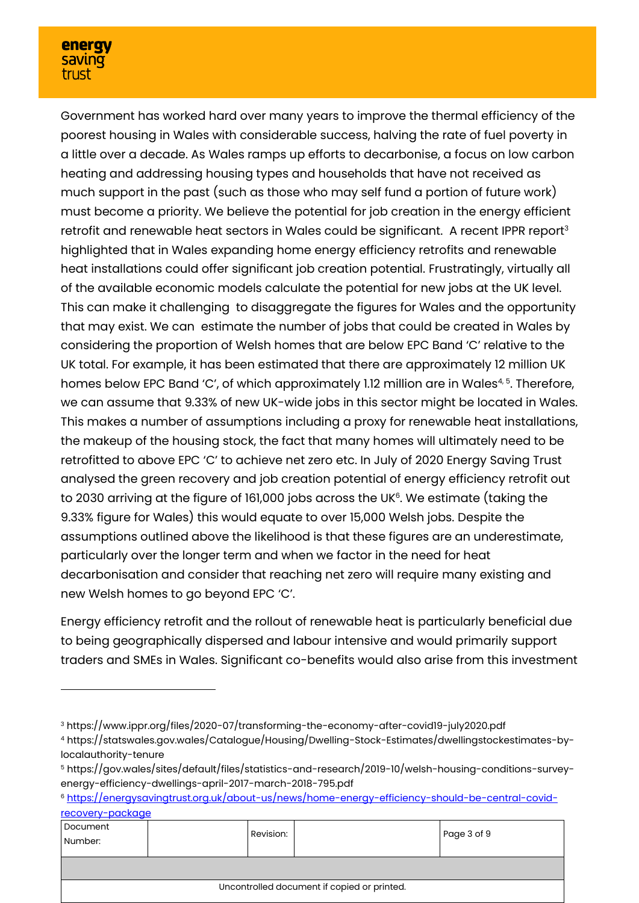### energy **saving** trust

Government has worked hard over many years to improve the thermal efficiency of the poorest housing in Wales with considerable success, halving the rate of fuel poverty in a little over a decade. As Wales ramps up efforts to decarbonise, a focus on low carbon heating and addressing housing types and households that have not received as much support in the past (such as those who may self fund a portion of future work) must become a priority. We believe the potential for job creation in the energy efficient retrofit and renewable heat sectors in Wales could be significant. A recent IPPR report<sup>3</sup> highlighted that in Wales expanding home energy efficiency retrofits and renewable heat installations could offer significant job creation potential. Frustratingly, virtually all of the available economic models calculate the potential for new jobs at the UK level. This can make it challenging to disaggregate the figures for Wales and the opportunity that may exist. We can estimate the number of jobs that could be created in Wales by considering the proportion of Welsh homes that are below EPC Band 'C' relative to the UK total. For example, it has been estimated that there are approximately 12 million UK homes below EPC Band 'C', of which approximately 1.12 million are in Wales<sup>4, 5</sup>. Therefore, we can assume that 9.33% of new UK-wide jobs in this sector might be located in Wales. This makes a number of assumptions including a proxy for renewable heat installations, the makeup of the housing stock, the fact that many homes will ultimately need to be retrofitted to above EPC 'C' to achieve net zero etc. In July of 2020 Energy Saving Trust analysed the green recovery and job creation potential of energy efficiency retrofit out to 2030 arriving at the figure of 161,000 jobs across the UK<sup>6</sup>. We estimate (taking the 9.33% figure for Wales) this would equate to over 15,000 Welsh jobs. Despite the assumptions outlined above the likelihood is that these figures are an underestimate, particularly over the longer term and when we factor in the need for heat decarbonisation and consider that reaching net zero will require many existing and new Welsh homes to go beyond EPC 'C'.

Energy efficiency retrofit and the rollout of renewable heat is particularly beneficial due to being geographically dispersed and labour intensive and would primarily support traders and SMEs in Wales. Significant co-benefits would also arise from this investment

<sup>6</sup> [https://energysavingtrust.org.uk/about-us/news/home-energy-efficiency-should-be-central-covid](https://energysavingtrust.org.uk/about-us/news/home-energy-efficiency-should-be-central-covid-recovery-package)[recovery-package](https://energysavingtrust.org.uk/about-us/news/home-energy-efficiency-should-be-central-covid-recovery-package)

| Document<br>Number:                         |  | Revision: |  | Page 3 of 9 |  |  |
|---------------------------------------------|--|-----------|--|-------------|--|--|
|                                             |  |           |  |             |  |  |
| Uncontrolled document if copied or printed. |  |           |  |             |  |  |

<sup>3</sup> https://www.ippr.org/files/2020-07/transforming-the-economy-after-covid19-july2020.pdf

<sup>4</sup> https://statswales.gov.wales/Catalogue/Housing/Dwelling-Stock-Estimates/dwellingstockestimates-bylocalauthority-tenure

<sup>5</sup> https://gov.wales/sites/default/files/statistics-and-research/2019-10/welsh-housing-conditions-surveyenergy-efficiency-dwellings-april-2017-march-2018-795.pdf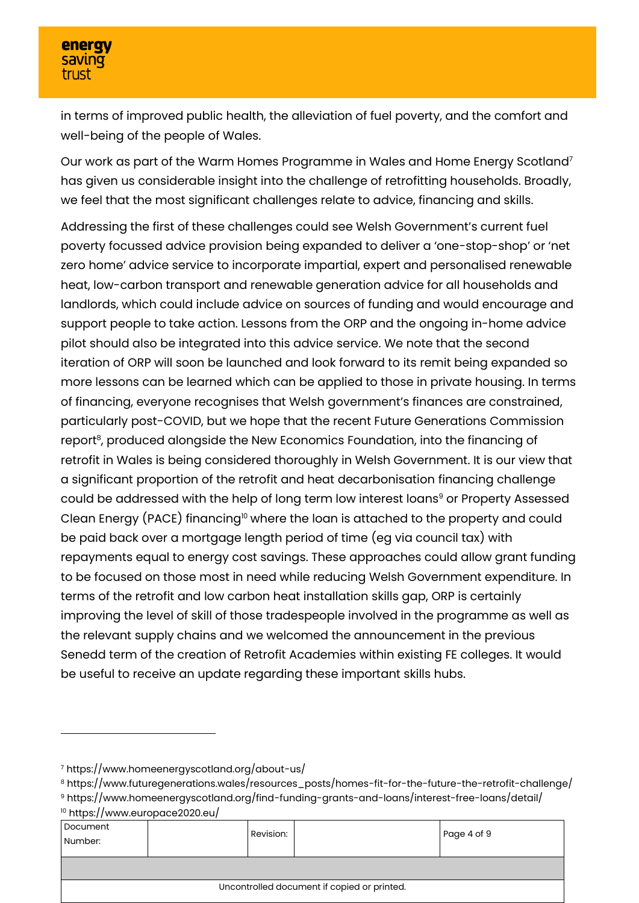in terms of improved public health, the alleviation of fuel poverty, and the comfort and well-being of the people of Wales.

Our work as part of the Warm Homes Programme in Wales and Home Energy Scotland<sup>7</sup> has given us considerable insight into the challenge of retrofitting households. Broadly, we feel that the most significant challenges relate to advice, financing and skills.

Addressing the first of these challenges could see Welsh Government's current fuel poverty focussed advice provision being expanded to deliver a 'one-stop-shop' or 'net zero home' advice service to incorporate impartial, expert and personalised renewable heat, low-carbon transport and renewable generation advice for all households and landlords, which could include advice on sources of funding and would encourage and support people to take action. Lessons from the ORP and the ongoing in-home advice pilot should also be integrated into this advice service. We note that the second iteration of ORP will soon be launched and look forward to its remit being expanded so more lessons can be learned which can be applied to those in private housing. In terms of financing, everyone recognises that Welsh government's finances are constrained, particularly post-COVID, but we hope that the recent Future Generations Commission report<sup>8</sup>, produced alongside the New Economics Foundation, into the financing of retrofit in Wales is being considered thoroughly in Welsh Government. It is our view that a significant proportion of the retrofit and heat decarbonisation financing challenge could be addressed with the help of long term low interest loans<sup>9</sup> or Property Assessed Clean Energy (PACE) financing<sup>10</sup> where the loan is attached to the property and could be paid back over a mortgage length period of time (eg via council tax) with repayments equal to energy cost savings. These approaches could allow grant funding to be focused on those most in need while reducing Welsh Government expenditure. In terms of the retrofit and low carbon heat installation skills gap, ORP is certainly improving the level of skill of those tradespeople involved in the programme as well as the relevant supply chains and we welcomed the announcement in the previous Senedd term of the creation of Retrofit Academies within existing FE colleges. It would be useful to receive an update regarding these important skills hubs.

<sup>10</sup> https://www.europace2020.eu/

| Document<br>Number:                         |  | Revision: |  | Page 4 of 9 |
|---------------------------------------------|--|-----------|--|-------------|
|                                             |  |           |  |             |
| Uncontrolled document if copied or printed. |  |           |  |             |

<sup>7</sup> https://www.homeenergyscotland.org/about-us/

<sup>&</sup>lt;sup>8</sup> https://www.futuregenerations.wales/resources\_posts/homes-fit-for-the-future-the-retrofit-challenge/

<sup>9</sup> https://www.homeenergyscotland.org/find-funding-grants-and-loans/interest-free-loans/detail/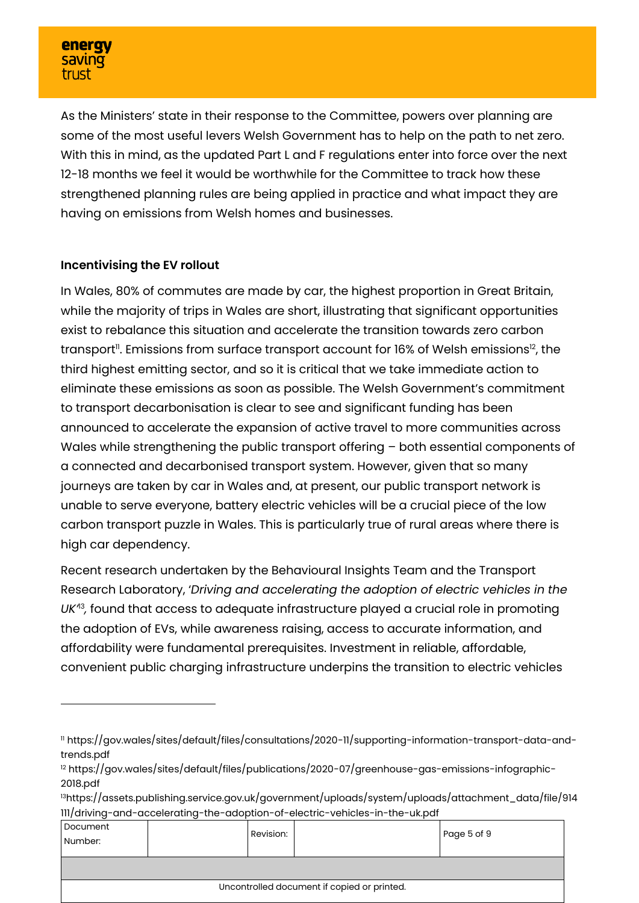As the Ministers' state in their response to the Committee, powers over planning are some of the most useful levers Welsh Government has to help on the path to net zero. With this in mind, as the updated Part L and F regulations enter into force over the next 12-18 months we feel it would be worthwhile for the Committee to track how these strengthened planning rules are being applied in practice and what impact they are having on emissions from Welsh homes and businesses.

# **Incentivising the EV rollout**

In Wales, 80% of commutes are made by car, the highest proportion in Great Britain, while the majority of trips in Wales are short, illustrating that significant opportunities exist to rebalance this situation and accelerate the transition towards zero carbon transport". Emissions from surface transport account for 16% of Welsh emissions<sup>12</sup>, the third highest emitting sector, and so it is critical that we take immediate action to eliminate these emissions as soon as possible. The Welsh Government's commitment to transport decarbonisation is clear to see and significant funding has been announced to accelerate the expansion of active travel to more communities across Wales while strengthening the public transport offering – both essential components of a connected and decarbonised transport system. However, given that so many journeys are taken by car in Wales and, at present, our public transport network is unable to serve everyone, battery electric vehicles will be a crucial piece of the low carbon transport puzzle in Wales. This is particularly true of rural areas where there is high car dependency.

Recent research undertaken by the Behavioural Insights Team and the Transport Research Laboratory, '*Driving and accelerating the adoption of electric vehicles in the UK'*<sup>13</sup> *,* found that access to adequate infrastructure played a crucial role in promoting the adoption of EVs, while awareness raising, access to accurate information, and affordability were fundamental prerequisites. Investment in reliable, affordable, convenient public charging infrastructure underpins the transition to electric vehicles

<sup>13</sup>https://assets.publishing.service.gov.uk/government/uploads/system/uploads/attachment\_data/file/914 111/driving-and-accelerating-the-adoption-of-electric-vehicles-in-the-uk.pdf

| Document<br>Number:                         |  | Revision: |  | Page 5 of 9 |
|---------------------------------------------|--|-----------|--|-------------|
|                                             |  |           |  |             |
| Uncontrolled document if copied or printed. |  |           |  |             |

<sup>11</sup> https://gov.wales/sites/default/files/consultations/2020-11/supporting-information-transport-data-andtrends.pdf

<sup>&</sup>lt;sup>12</sup> https://gov.wales/sites/default/files/publications/2020-07/greenhouse-gas-emissions-infographic-2018.pdf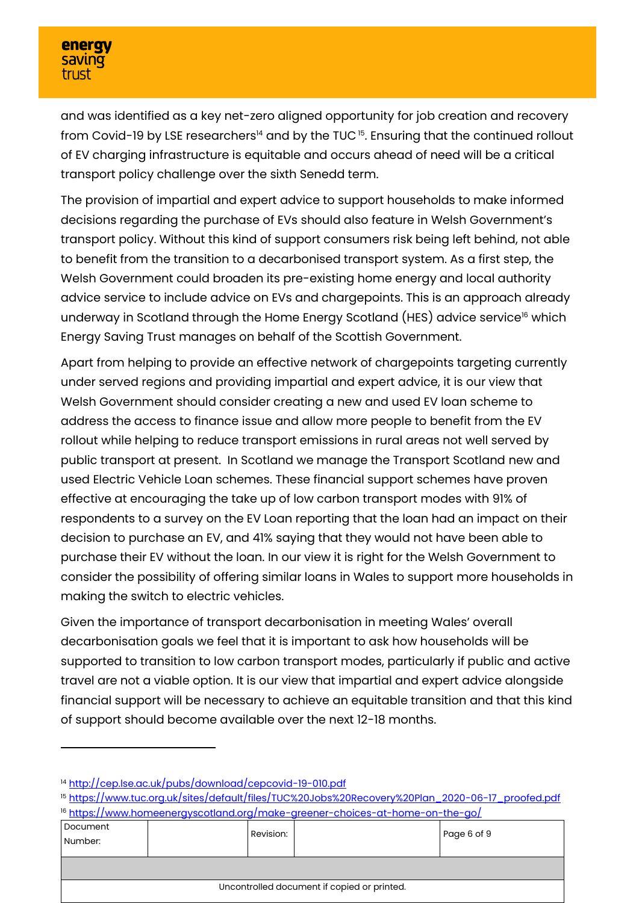and was identified as a key net-zero aligned opportunity for job creation and recovery from Covid-19 by LSE researchers $^{\text{14}}$  and by the TUC  $^{\text{15}}$ . Ensuring that the continued rollout of EV charging infrastructure is equitable and occurs ahead of need will be a critical transport policy challenge over the sixth Senedd term.

The provision of impartial and expert advice to support households to make informed decisions regarding the purchase of EVs should also feature in Welsh Government's transport policy. Without this kind of support consumers risk being left behind, not able to benefit from the transition to a decarbonised transport system. As a first step, the Welsh Government could broaden its pre-existing home energy and local authority advice service to include advice on EVs and chargepoints. This is an approach already underway in Scotland through the Home Energy Scotland (HES) advice service<sup>16</sup> which Energy Saving Trust manages on behalf of the Scottish Government.

Apart from helping to provide an effective network of chargepoints targeting currently under served regions and providing impartial and expert advice, it is our view that Welsh Government should consider creating a new and used EV loan scheme to address the access to finance issue and allow more people to benefit from the EV rollout while helping to reduce transport emissions in rural areas not well served by public transport at present. In Scotland we manage the Transport Scotland new and used Electric Vehicle Loan schemes. These financial support schemes have proven effective at encouraging the take up of low carbon transport modes with 91% of respondents to a survey on the EV Loan reporting that the loan had an impact on their decision to purchase an EV, and 41% saying that they would not have been able to purchase their EV without the loan. In our view it is right for the Welsh Government to consider the possibility of offering similar loans in Wales to support more households in making the switch to electric vehicles.

Given the importance of transport decarbonisation in meeting Wales' overall decarbonisation goals we feel that it is important to ask how households will be supported to transition to low carbon transport modes, particularly if public and active travel are not a viable option. It is our view that impartial and expert advice alongside financial support will be necessary to achieve an equitable transition and that this kind of support should become available over the next 12-18 months.

<sup>15</sup> [https://www.tuc.org.uk/sites/default/files/TUC%20Jobs%20Recovery%20Plan\\_2020-06-17\\_proofed.pdf](https://www.tuc.org.uk/sites/default/files/TUC%20Jobs%20Recovery%20Plan_2020-06-17_proofed.pdf) <sup>16</sup> <https://www.homeenergyscotland.org/make-greener-choices-at-home-on-the-go/>

| Document<br>Number:                         |  | Revision: |  | Page 6 of 9 |
|---------------------------------------------|--|-----------|--|-------------|
|                                             |  |           |  |             |
| Uncontrolled document if copied or printed. |  |           |  |             |

<sup>14</sup> <http://cep.lse.ac.uk/pubs/download/cepcovid-19-010.pdf>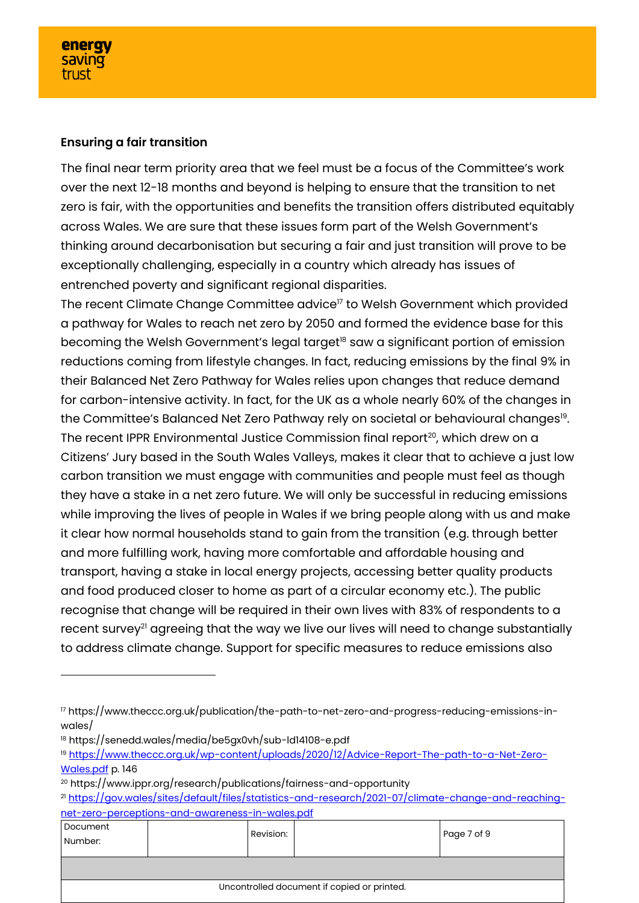### **Ensuring a fair transition**

The final near term priority area that we feel must be a focus of the Committee's work over the next 12-18 months and beyond is helping to ensure that the transition to net zero is fair, with the opportunities and benefits the transition offers distributed equitably across Wales. We are sure that these issues form part of the Welsh Government's thinking around decarbonisation but securing a fair and just transition will prove to be exceptionally challenging, especially in a country which already has issues of entrenched poverty and significant regional disparities.

The recent Climate Change Committee advice<sup>17</sup> to Welsh Government which provided a pathway for Wales to reach net zero by 2050 and formed the evidence base for this becoming the Welsh Government's legal target<sup>18</sup> saw a significant portion of emission reductions coming from lifestyle changes. In fact, reducing emissions by the final 9% in their Balanced Net Zero Pathway for Wales relies upon changes that reduce demand for carbon-intensive activity. In fact, for the UK as a whole nearly 60% of the changes in the Committee's Balanced Net Zero Pathway rely on societal or behavioural changes19. The recent IPPR Environmental Justice Commission final report<sup>20</sup>, which drew on a Citizens' Jury based in the South Wales Valleys, makes it clear that to achieve a just low carbon transition we must engage with communities and people must feel as though they have a stake in a net zero future. We will only be successful in reducing emissions while improving the lives of people in Wales if we bring people along with us and make it clear how normal households stand to gain from the transition (e.g. through better and more fulfilling work, having more comfortable and affordable housing and transport, having a stake in local energy projects, accessing better quality products and food produced closer to home as part of a circular economy etc.). The public recognise that change will be required in their own lives with 83% of respondents to a recent survey<sup>21</sup> agreeing that the way we live our lives will need to change substantially to address climate change. Support for specific measures to reduce emissions also

<sup>21</sup> [https://gov.wales/sites/default/files/statistics-and-research/2021-07/climate-change-and-reaching](https://gov.wales/sites/default/files/statistics-and-research/2021-07/climate-change-and-reaching-net-zero-perceptions-and-awareness-in-wales.pdf)[net-zero-perceptions-and-awareness-in-wales.pdf](https://gov.wales/sites/default/files/statistics-and-research/2021-07/climate-change-and-reaching-net-zero-perceptions-and-awareness-in-wales.pdf)

| Document<br>Number:                         |  | Revision: |  | Page 7 of 9 |
|---------------------------------------------|--|-----------|--|-------------|
|                                             |  |           |  |             |
| Uncontrolled document if copied or printed. |  |           |  |             |

<sup>17</sup> https://www.theccc.org.uk/publication/the-path-to-net-zero-and-progress-reducing-emissions-inwales/

<sup>18</sup> https://senedd.wales/media/be5gx0vh/sub-ld14108-e.pdf

<sup>&</sup>lt;sup>19</sup> [https://www.theccc.org.uk/wp-content/uploads/2020/12/Advice-Report-The-path-to-a-Net-Zero-](https://www.theccc.org.uk/wp-content/uploads/2020/12/Advice-Report-The-path-to-a-Net-Zero-Wales.pdf)[Wales.pdf](https://www.theccc.org.uk/wp-content/uploads/2020/12/Advice-Report-The-path-to-a-Net-Zero-Wales.pdf) p. 146

<sup>20</sup> https://www.ippr.org/research/publications/fairness-and-opportunity